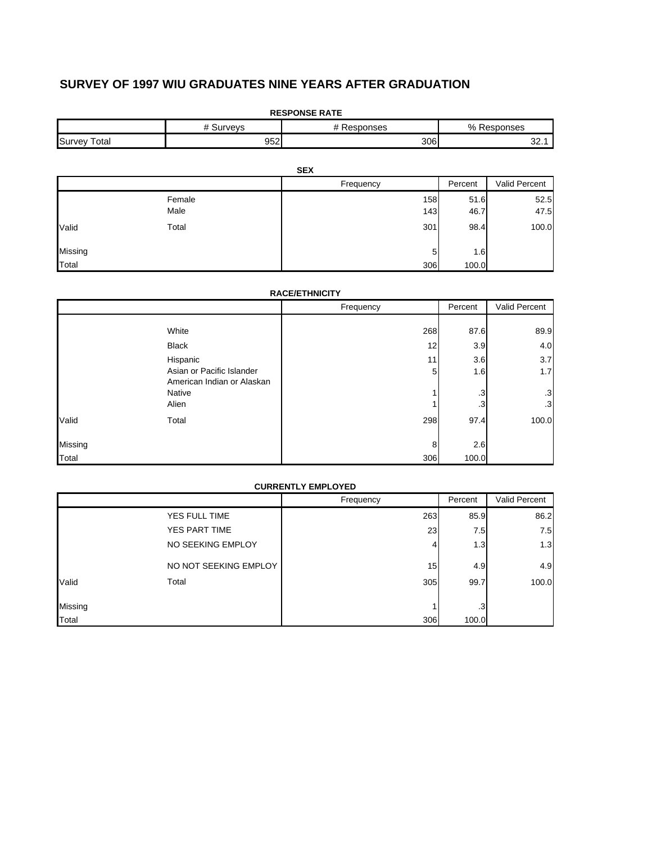# **SURVEY OF 1997 WIU GRADUATES NINE YEARS AFTER GRADUATION**

| <b>RESPONSE RATE</b>     |                |            |            |              |               |
|--------------------------|----------------|------------|------------|--------------|---------------|
| # Surveys<br># Responses |                |            |            |              | % Responses   |
| <b>Survey Total</b>      | 952            |            | 306        |              | 32.1          |
|                          |                | <b>SEX</b> |            |              |               |
|                          |                | Frequency  |            | Percent      | Valid Percent |
|                          | Female<br>Male |            | 158<br>143 | 51.6<br>46.7 | 52.5<br>47.5  |
| Valid                    | Total          |            | 301        | 98.4         | 100.0         |
| Missing                  |                |            | 5          | 1.6          |               |
| Total                    |                |            | 306        | 100.0        |               |

## **RACE/ETHNICITY**

|         |                                                         | Frequency | Percent | Valid Percent |
|---------|---------------------------------------------------------|-----------|---------|---------------|
|         |                                                         |           |         |               |
|         | White                                                   | 268       | 87.6    | 89.9          |
|         | <b>Black</b>                                            | 12        | 3.9     | 4.0           |
|         | Hispanic                                                | 11        | 3.6     | 3.7           |
|         | Asian or Pacific Islander<br>American Indian or Alaskan | 5         | 1.6     | 1.7           |
|         | Native                                                  |           | .3      | $\cdot$ 3     |
|         | Alien                                                   |           | .3      | $\cdot$ 3     |
| Valid   | Total                                                   | 298       | 97.4    | 100.0         |
| Missing |                                                         | 8         | 2.6     |               |
| Total   |                                                         | 306       | 100.0   |               |

#### **CURRENTLY EMPLOYED**

|         |                       | Frequency | Percent   | Valid Percent |
|---------|-----------------------|-----------|-----------|---------------|
|         | YES FULL TIME         | 263       | 85.9      | 86.2          |
|         | YES PART TIME         | 23        | 7.5       | 7.5           |
|         | NO SEEKING EMPLOY     | 4         | 1.3       | 1.3           |
|         | NO NOT SEEKING EMPLOY | 15        | 4.9       | 4.9           |
| Valid   | Total                 | 305       | 99.7      | 100.0         |
| Missing |                       |           | $\cdot$ 3 |               |
| Total   |                       | 306       | 100.0     |               |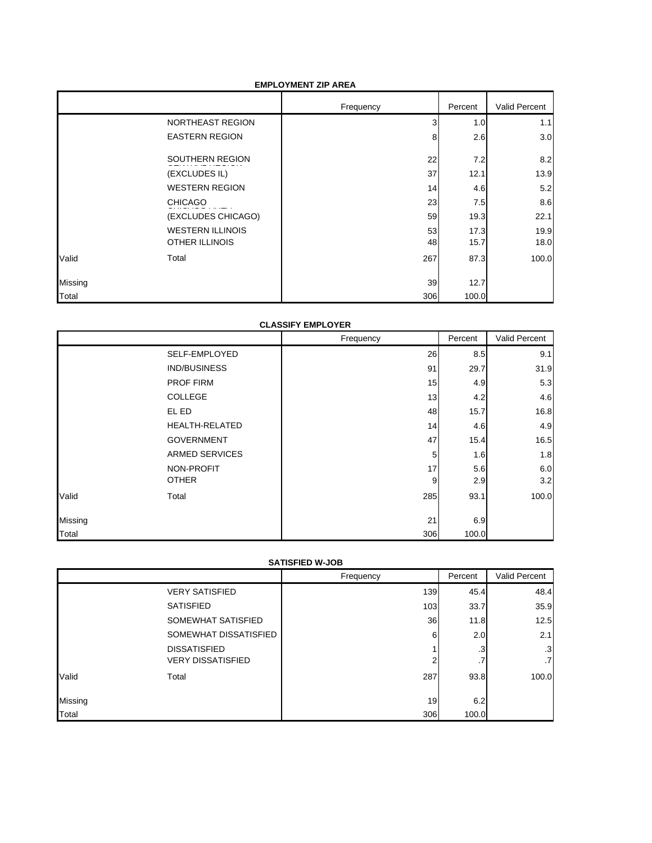#### **EMPLOYMENT ZIP AREA**

|         |                         | Frequency | Percent | Valid Percent |
|---------|-------------------------|-----------|---------|---------------|
|         | NORTHEAST REGION        | 3         | 1.0     | 1.1           |
|         | <b>EASTERN REGION</b>   | 8         | 2.6     | 3.0           |
|         | SOUTHERN REGION         | 22        | 7.2     | 8.2           |
|         | (EXCLUDES IL)           | 37        | 12.1    | 13.9          |
|         | <b>WESTERN REGION</b>   | 14        | 4.6     | 5.2           |
|         | <b>CHICAGO</b>          | 23        | 7.5     | 8.6           |
|         | (EXCLUDES CHICAGO)      | 59        | 19.3    | 22.1          |
|         | <b>WESTERN ILLINOIS</b> | 53        | 17.3    | 19.9          |
|         | <b>OTHER ILLINOIS</b>   | 48        | 15.7    | 18.0          |
| Valid   | Total                   | 267       | 87.3    | 100.0         |
| Missing |                         | 39        | 12.7    |               |
| Total   |                         | 306       | 100.0   |               |

## **CLASSIFY EMPLOYER**

|         |                       | Frequency | Percent | Valid Percent |
|---------|-----------------------|-----------|---------|---------------|
|         | SELF-EMPLOYED         | 26        | 8.5     | 9.1           |
|         | IND/BUSINESS          | 91        | 29.7    | 31.9          |
|         | <b>PROF FIRM</b>      | 15        | 4.9     | 5.3           |
|         | COLLEGE               | 13        | 4.2     | 4.6           |
|         | EL ED                 | 48        | 15.7    | 16.8          |
|         | <b>HEALTH-RELATED</b> | 14        | 4.6     | 4.9           |
|         | <b>GOVERNMENT</b>     | 47        | 15.4    | 16.5          |
|         | <b>ARMED SERVICES</b> | 5         | 1.6     | 1.8           |
|         | NON-PROFIT            | 17        | 5.6     | 6.0           |
|         | <b>OTHER</b>          | 9         | 2.9     | 3.2           |
| Valid   | Total                 | 285       | 93.1    | 100.0         |
| Missing |                       | 21        | 6.9     |               |
| Total   |                       | 306       | 100.0   |               |

## **SATISFIED W-JOB**

|         |                          | Frequency | Percent | <b>Valid Percent</b> |  |
|---------|--------------------------|-----------|---------|----------------------|--|
|         | <b>VERY SATISFIED</b>    | 139       | 45.4    | 48.4                 |  |
|         | <b>SATISFIED</b>         | 103       | 33.7    | 35.9                 |  |
|         | SOMEWHAT SATISFIED       | 36        | 11.8    | 12.5                 |  |
|         | SOMEWHAT DISSATISFIED    | 6         | 2.0     | 2.1                  |  |
|         | <b>DISSATISFIED</b>      |           | .3      | $\cdot$ 3            |  |
|         | <b>VERY DISSATISFIED</b> | 2         | .7      | $.7\phantom{0}$      |  |
| Valid   | Total                    | 287       | 93.8    | 100.0                |  |
| Missing |                          | 19        | 6.2     |                      |  |
| Total   |                          | 306       | 100.0   |                      |  |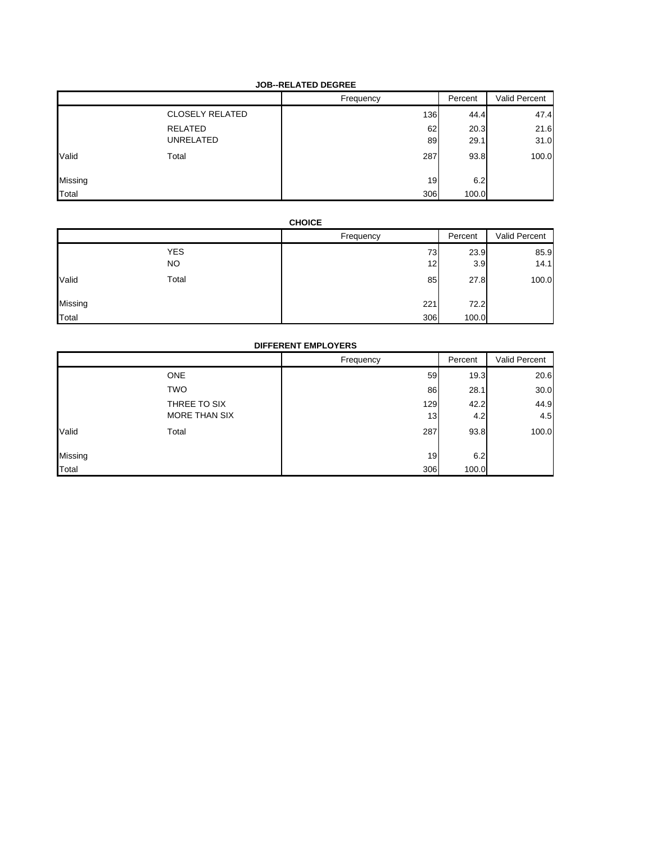## **JOB--RELATED DEGREE**

|         |                        | Frequency | Percent | Valid Percent |
|---------|------------------------|-----------|---------|---------------|
|         | <b>CLOSELY RELATED</b> | 136       | 44.4    | 47.4          |
|         | RELATED                | 62        | 20.3    | 21.6          |
|         | UNRELATED              | 89        | 29.1    | 31.0          |
| Valid   | Total                  | 287       | 93.8    | 100.0         |
| Missing |                        | 19        | 6.2     |               |
| Total   |                        | 306       | 100.0   |               |

## **CHOICE**

|         |                  | Frequency | Percent     | Valid Percent |
|---------|------------------|-----------|-------------|---------------|
|         | <b>YES</b><br>NO | 73<br>12  | 23.9<br>3.9 | 85.9<br>14.1  |
| Valid   | Total            | 85        | 27.8        | 100.0         |
| Missing |                  | 221       | 72.2        |               |
| Total   |                  | 306       | 100.0       |               |

## **DIFFERENT EMPLOYERS**

|         |               | Frequency | Percent | Valid Percent |
|---------|---------------|-----------|---------|---------------|
|         | <b>ONE</b>    | 59        | 19.3    | 20.6          |
|         | <b>TWO</b>    | 86        | 28.1    | 30.0          |
|         | THREE TO SIX  | 129       | 42.2    | 44.9          |
|         | MORE THAN SIX | 13        | 4.2     | 4.5           |
| Valid   | Total         | 287       | 93.8    | 100.0         |
| Missing |               | 19        | 6.2     |               |
| Total   |               | 306       | 100.0   |               |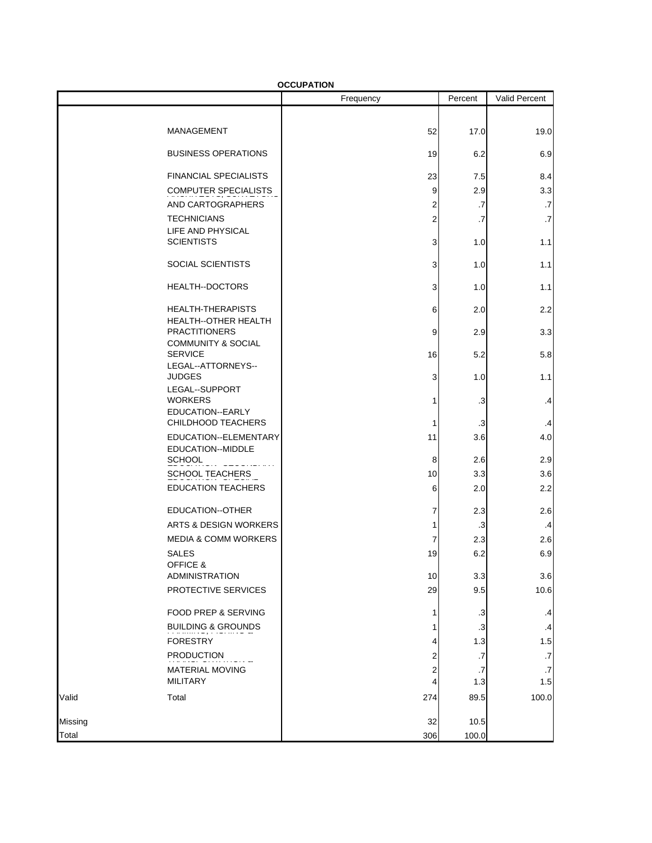|         | <b>OCCUPATION</b>                               |                         |           |                      |
|---------|-------------------------------------------------|-------------------------|-----------|----------------------|
|         |                                                 | Frequency               | Percent   | <b>Valid Percent</b> |
|         |                                                 |                         |           |                      |
|         | MANAGEMENT                                      | 52                      | 17.0      | 19.0                 |
|         | <b>BUSINESS OPERATIONS</b>                      | 19                      | 6.2       | 6.9                  |
|         | <b>FINANCIAL SPECIALISTS</b>                    | 23                      | 7.5       | 8.4                  |
|         | <b>COMPUTER SPECIALISTS</b>                     | 9                       | 2.9       | 3.3                  |
|         | AND CARTOGRAPHERS                               | 2                       | .7        | .7                   |
|         | <b>TECHNICIANS</b><br>LIFE AND PHYSICAL         | $\overline{\mathbf{c}}$ | .7        | .7                   |
|         | <b>SCIENTISTS</b>                               | 3                       | 1.0       | 1.1                  |
|         | SOCIAL SCIENTISTS                               | 3                       | 1.0       | 1.1                  |
|         | <b>HEALTH--DOCTORS</b>                          | 3                       | 1.0       | 1.1                  |
|         | <b>HEALTH-THERAPISTS</b>                        | 6                       | 2.0       | 2.2                  |
|         | HEALTH--OTHER HEALTH<br><b>PRACTITIONERS</b>    | 9                       | 2.9       | 3.3                  |
|         | <b>COMMUNITY &amp; SOCIAL</b><br><b>SERVICE</b> | 16                      | 5.2       | 5.8                  |
|         | LEGAL--ATTORNEYS--<br><b>JUDGES</b>             | 3                       | 1.0       | 1.1                  |
|         | LEGAL--SUPPORT<br><b>WORKERS</b>                | 1                       | $\cdot$ 3 | .4                   |
|         | EDUCATION--EARLY<br>CHILDHOOD TEACHERS          | 1                       | .3        | .4                   |
|         | EDUCATION--ELEMENTARY<br>EDUCATION--MIDDLE      | 11                      | 3.6       | 4.0                  |
|         | <b>SCHOOL</b>                                   | 8                       | 2.6       | 2.9                  |
|         | <b>SCHOOL TEACHERS</b>                          | 10                      | 3.3       | 3.6                  |
|         | <b>EDUCATION TEACHERS</b>                       | 6                       | 2.0       | 2.2                  |
|         | EDUCATION--OTHER                                | 7                       | 2.3       | 2.6                  |
|         | ARTS & DESIGN WORKERS                           | 1                       | $\cdot$ 3 | $\cdot$              |
|         | <b>MEDIA &amp; COMM WORKERS</b>                 | 7                       | 2.3       | 2.6                  |
|         | <b>SALES</b><br>OFFICE &                        | 19                      | 6.2       | 6.9                  |
|         | ADMINISTRATION                                  | 10                      | 3.3       | 3.6                  |
|         | PROTECTIVE SERVICES                             | 29                      | 9.5       | 10.6                 |
|         | FOOD PREP & SERVING                             | 1                       | $\cdot$ 3 | .4                   |
|         | <b>BUILDING &amp; GROUNDS</b>                   | 1                       | $\cdot$ 3 | .4                   |
|         | <b>FORESTRY</b>                                 | 4                       | 1.3       | 1.5                  |
|         | <b>PRODUCTION</b>                               | 2                       | .7        | .7                   |
|         | <b>MATERIAL MOVING</b>                          | 2                       | .7        | .7                   |
|         | <b>MILITARY</b>                                 | 4                       | 1.3       | 1.5                  |
| Valid   | Total                                           | 274                     | 89.5      | 100.0                |
| Missing |                                                 | 32                      | 10.5      |                      |
| Total   |                                                 | 306                     | 100.0     |                      |

**OCCUPATION**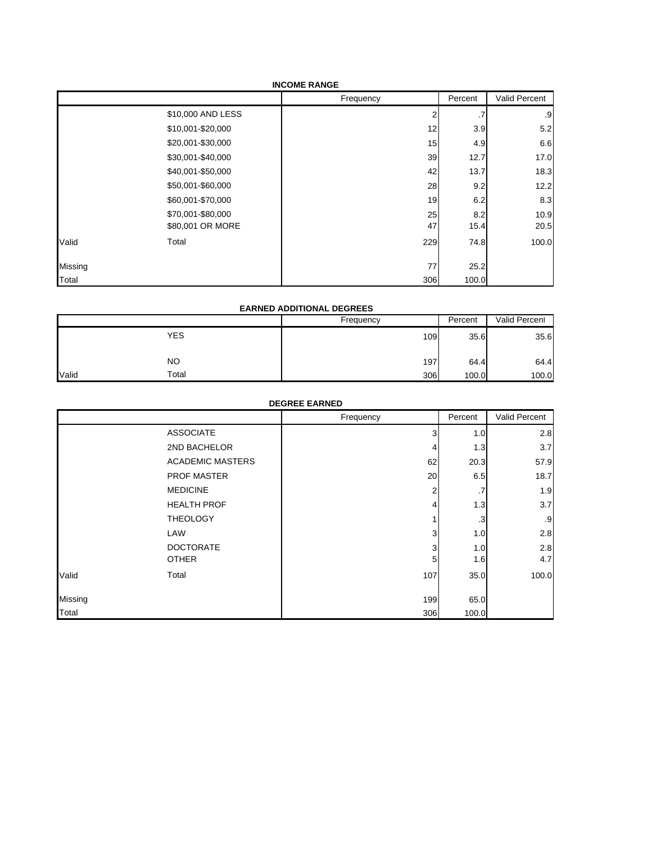| <b>INCOME RANGE</b> |  |
|---------------------|--|
|---------------------|--|

|         |                   | Frequency | Percent | Valid Percent |
|---------|-------------------|-----------|---------|---------------|
|         | \$10,000 AND LESS |           | .7      | .9            |
|         | \$10,001-\$20,000 | 12        | 3.9     | 5.2           |
|         | \$20,001-\$30,000 | 15        | 4.9     | 6.6           |
|         | \$30,001-\$40,000 | 39        | 12.7    | 17.0          |
|         | \$40,001-\$50,000 | 42        | 13.7    | 18.3          |
|         | \$50,001-\$60,000 | 28        | 9.2     | 12.2          |
|         | \$60,001-\$70,000 | 19        | 6.2     | 8.3           |
|         | \$70,001-\$80,000 | 25        | 8.2     | 10.9          |
|         | \$80,001 OR MORE  | 47        | 15.4    | 20.5          |
| Valid   | Total             | 229       | 74.8    | 100.0         |
| Missing |                   | 77        | 25.2    |               |
| Total   |                   | 306       | 100.0   |               |

## **EARNED ADDITIONAL DEGREES**

|       |            | Frequency | Percent | Valid Percent |
|-------|------------|-----------|---------|---------------|
|       | <b>YES</b> | 109       | 35.6    | 35.6          |
|       | <b>NO</b>  | 197       | 64.4    | 64.4          |
| Valid | Total      | 306       | 100.0   | 100.0         |

|         |                         | <b>DEGREE EARNED</b><br>Frequency | Percent | Valid Percent |
|---------|-------------------------|-----------------------------------|---------|---------------|
|         | <b>ASSOCIATE</b>        | 3                                 | 1.0     | 2.8           |
|         | 2ND BACHELOR            | 4                                 | 1.3     | 3.7           |
|         | <b>ACADEMIC MASTERS</b> | 62                                | 20.3    | 57.9          |
|         | <b>PROF MASTER</b>      | 20                                | 6.5     | 18.7          |
|         | <b>MEDICINE</b>         | $\overline{2}$                    | .7      | 1.9           |
|         | <b>HEALTH PROF</b>      | 4                                 | 1.3     | 3.7           |
|         | <b>THEOLOGY</b>         |                                   | .3      | .9            |
|         | LAW                     | 3                                 | 1.0     | 2.8           |
|         | <b>DOCTORATE</b>        | 3                                 | 1.0     | 2.8           |
|         | <b>OTHER</b>            | 5                                 | 1.6     | 4.7           |
| Valid   | Total                   | 107                               | 35.0    | 100.0         |
| Missing |                         | 199                               | 65.0    |               |
| Total   |                         | 306                               | 100.0   |               |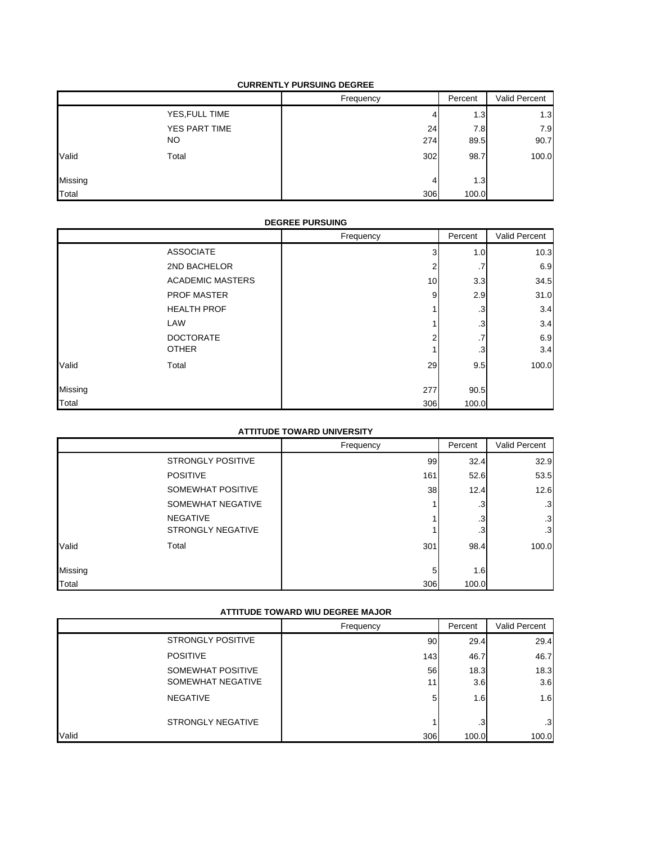#### **CURRENTLY PURSUING DEGREE**

|         |                | Frequency | Percent          | Valid Percent |
|---------|----------------|-----------|------------------|---------------|
|         | YES, FULL TIME | 4         | 1.3              | 1.3           |
|         | YES PART TIME  | 24        | 7.8              | 7.9           |
|         | NO.            | 274       | 89.5             | 90.7          |
| Valid   | Total          | 302       | 98.7             | 100.0         |
| Missing |                | 4         | 1.3 <sub>1</sub> |               |
| Total   |                | 306       | 100.0            |               |

## **DEGREE PURSUING**

|         |                         | Frequency | Percent      | Valid Percent |
|---------|-------------------------|-----------|--------------|---------------|
|         | <b>ASSOCIATE</b>        | 3         | 1.0          | 10.3          |
|         | 2ND BACHELOR            | 2         | . 1          | 6.9           |
|         | <b>ACADEMIC MASTERS</b> | 10        | 3.3          | 34.5          |
|         | <b>PROF MASTER</b>      | 9         | 2.9          | 31.0          |
|         | <b>HEALTH PROF</b>      |           | .3           | 3.4           |
|         | LAW                     |           | .3           | 3.4           |
|         | <b>DOCTORATE</b>        | ◠         | ⇁<br>$\cdot$ | 6.9           |
|         | <b>OTHER</b>            |           | .3           | 3.4           |
| Valid   | Total                   | 29        | 9.5          | 100.0         |
| Missing |                         | 277       | 90.5         |               |
| Total   |                         | 306       | 100.0        |               |

## **ATTITUDE TOWARD UNIVERSITY**

| ATTITUDE TUWARD UNIVERSITT |                                             |           |          |                 |
|----------------------------|---------------------------------------------|-----------|----------|-----------------|
|                            |                                             | Frequency | Percent  | Valid Percent   |
|                            | <b>STRONGLY POSITIVE</b>                    | 99        | 32.4     | 32.9            |
|                            | <b>POSITIVE</b>                             | 161       | 52.6     | 53.5            |
|                            | SOMEWHAT POSITIVE                           | 38        | 12.4     | 12.6            |
|                            | SOMEWHAT NEGATIVE                           |           | .3       | .3              |
|                            | <b>NEGATIVE</b><br><b>STRONGLY NEGATIVE</b> |           | .3<br>.3 | .3<br>$\cdot$ 3 |
| Valid                      | Total                                       | 301       | 98.4     | 100.0           |
| Missing                    |                                             | 5         | 1.6      |                 |
| Total                      |                                             | 306       | 100.0    |                 |

## **ATTITUDE TOWARD WIU DEGREE MAJOR**

|                                        | Frequency | Percent     | Valid Percent |
|----------------------------------------|-----------|-------------|---------------|
| <b>STRONGLY POSITIVE</b>               | 90        | 29.4        | 29.4          |
| <b>POSITIVE</b>                        | 143       | 46.7        | 46.7          |
| SOMEWHAT POSITIVE<br>SOMEWHAT NEGATIVE | 56<br>11  | 18.3<br>3.6 | 18.3<br>3.6   |
| <b>NEGATIVE</b>                        | 5         | 1.6         | 1.6           |
| <b>STRONGLY NEGATIVE</b>               |           | $\cdot$ 3   | .3            |
| Valid                                  | 306       | 100.0       | 100.0         |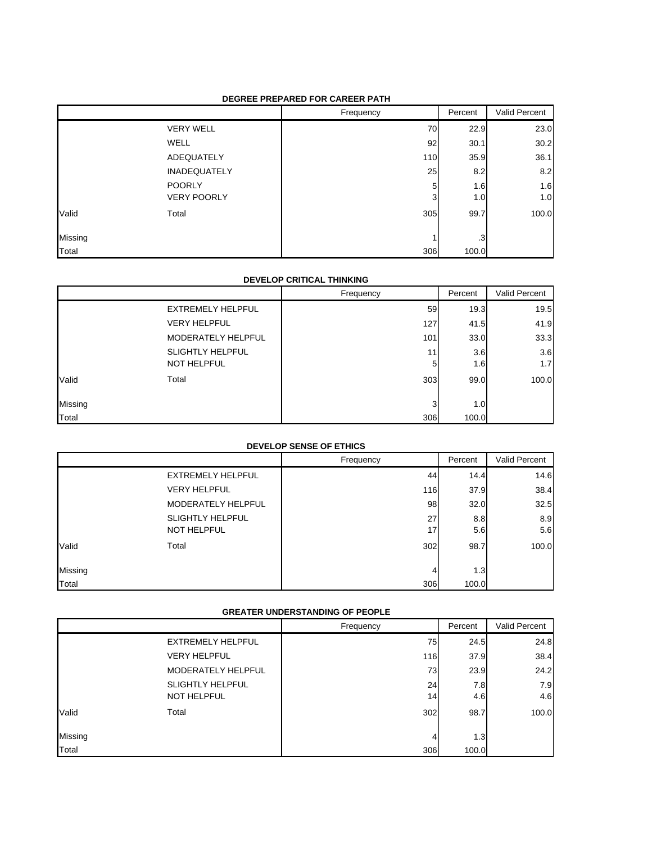#### **DEGREE PREPARED FOR CAREER PATH**

|         |                     | Frequency | Percent | Valid Percent |
|---------|---------------------|-----------|---------|---------------|
|         | <b>VERY WELL</b>    | 70        | 22.9    | 23.0          |
|         | <b>WELL</b>         | 92        | 30.1    | 30.2          |
|         | ADEQUATELY          | 110       | 35.9    | 36.1          |
|         | <b>INADEQUATELY</b> | 25        | 8.2     | 8.2           |
|         | <b>POORLY</b>       | 5         | 1.6     | 1.6           |
|         | <b>VERY POORLY</b>  | 3         | 1.0     | 1.0           |
| Valid   | Total               | 305       | 99.7    | 100.0         |
| Missing |                     |           | .3      |               |
| Total   |                     | 306       | 100.0   |               |

#### **DEVELOP CRITICAL THINKING**

|         |                         | Frequency | Percent | Valid Percent |
|---------|-------------------------|-----------|---------|---------------|
|         | EXTREMELY HELPFUL       | 59        | 19.3    | 19.5          |
|         | <b>VERY HELPFUL</b>     | 127       | 41.5    | 41.9          |
|         | MODERATELY HELPFUL      | 101       | 33.0    | 33.3          |
|         | <b>SLIGHTLY HELPFUL</b> | 11        | 3.6     | 3.6           |
|         | NOT HELPFUL             | 5         | 1.6     | 1.7           |
| Valid   | Total                   | 303       | 99.0    | 100.0         |
| Missing |                         | 3         | 1.0     |               |
| Total   |                         | 306       | 100.0   |               |

## **DEVELOP SENSE OF ETHICS**

|         |                          | Frequency | Percent | Valid Percent |
|---------|--------------------------|-----------|---------|---------------|
|         | <b>EXTREMELY HELPFUL</b> | 44        | 14.4    | 14.6          |
|         | <b>VERY HELPFUL</b>      | 116       | 37.9    | 38.4          |
|         | MODERATELY HELPFUL       | 98        | 32.0    | 32.5          |
|         | <b>SLIGHTLY HELPFUL</b>  | 27        | 8.8     | 8.9           |
|         | NOT HELPFUL              | 17        | 5.6     | 5.6           |
| Valid   | Total                    | 302       | 98.7    | 100.0         |
| Missing |                          | 4         | 1.3     |               |
| Total   |                          | 306       | 100.0   |               |

#### **GREATER UNDERSTANDING OF PEOPLE**

|         |                          | Frequency | Percent | Valid Percent |
|---------|--------------------------|-----------|---------|---------------|
|         | <b>EXTREMELY HELPFUL</b> | 75        | 24.5    | 24.8          |
|         | <b>VERY HELPFUL</b>      | 116       | 37.9    | 38.4          |
|         | MODERATELY HELPFUL       | 73        | 23.9    | 24.2          |
|         | <b>SLIGHTLY HELPFUL</b>  | 24        | 7.8     | 7.9           |
|         | NOT HELPFUL              | 14        | 4.6     | 4.6           |
| Valid   | Total                    | 302       | 98.7    | 100.0         |
| Missing |                          | 4         | 1.3     |               |
| Total   |                          | 306       | 100.0   |               |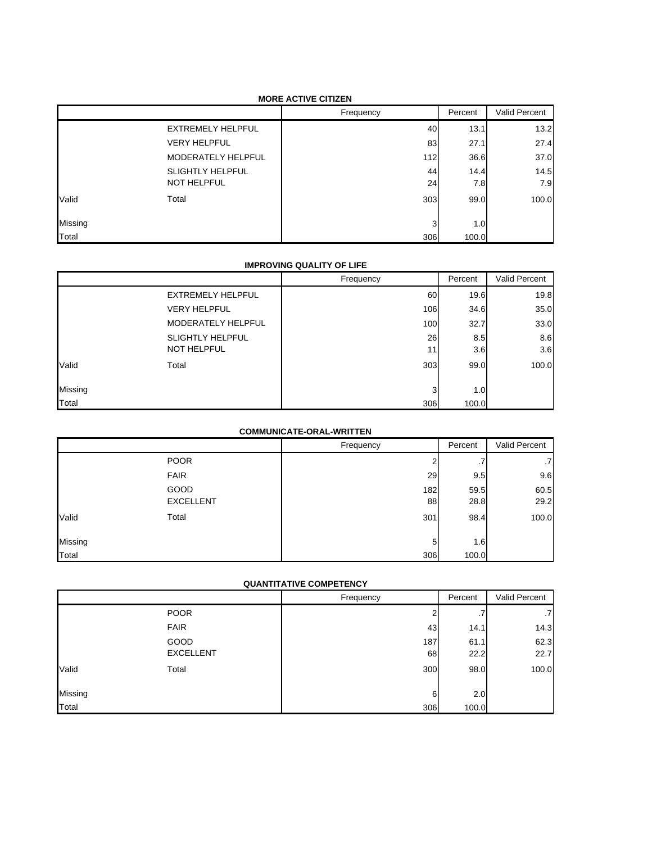#### **MORE ACTIVE CITIZEN**

|         |                          | Frequency | Percent          | Valid Percent |
|---------|--------------------------|-----------|------------------|---------------|
|         | <b>EXTREMELY HELPFUL</b> | 40        | 13.1             | 13.2          |
|         | <b>VERY HELPFUL</b>      | 83        | 27.1             | 27.4          |
|         | MODERATELY HELPFUL       | 112       | 36.6             | 37.0          |
|         | <b>SLIGHTLY HELPFUL</b>  | 44        | 14.4             | 14.5          |
|         | NOT HELPFUL              | 24        | 7.8              | 7.9           |
| Valid   | Total                    | 303       | 99.0             | 100.0         |
| Missing |                          | 3         | 1.0 <sub>l</sub> |               |
| Total   |                          | 306       | 100.0            |               |

## **IMPROVING QUALITY OF LIFE**

|         |                         | Frequency | Percent | Valid Percent |
|---------|-------------------------|-----------|---------|---------------|
|         | EXTREMELY HELPFUL       | 60        | 19.6    | 19.8          |
|         | <b>VERY HELPFUL</b>     | 106       | 34.6    | 35.0          |
|         | MODERATELY HELPFUL      | 100       | 32.7    | 33.0          |
|         | <b>SLIGHTLY HELPFUL</b> | 26        | 8.5     | 8.6           |
|         | <b>NOT HELPFUL</b>      | 11        | 3.6     | 3.6           |
| Valid   | Total                   | 303       | 99.0    | 100.0         |
| Missing |                         | 3         | 1.0     |               |
| Total   |                         | 306       | 100.0   |               |

#### **COMMUNICATE-ORAL-WRITTEN**

|         |                  | Frequency | Percent | Valid Percent |
|---------|------------------|-----------|---------|---------------|
|         | <b>POOR</b>      |           | . .     | .7            |
|         | <b>FAIR</b>      | 29        | 9.5     | 9.6           |
|         | GOOD             | 182       | 59.5    | 60.5          |
|         | <b>EXCELLENT</b> | 88        | 28.8    | 29.2          |
| Valid   | Total            | 301       | 98.4    | 100.0         |
|         |                  |           |         |               |
| Missing |                  | 5         | 1.6     |               |
| Total   |                  | 306       | 100.0   |               |

## **QUANTITATIVE COMPETENCY**

|         |                  | Frequency | Percent | Valid Percent |
|---------|------------------|-----------|---------|---------------|
|         | <b>POOR</b>      | 2         | .7      | .7            |
|         | <b>FAIR</b>      | 43        | 14.1    | 14.3          |
|         | GOOD             | 187       | 61.1    | 62.3          |
|         | <b>EXCELLENT</b> | 68        | 22.2    | 22.7          |
| Valid   | Total            | 300       | 98.0    | 100.0         |
| Missing |                  | 6         | 2.0     |               |
| Total   |                  | 306       | 100.0   |               |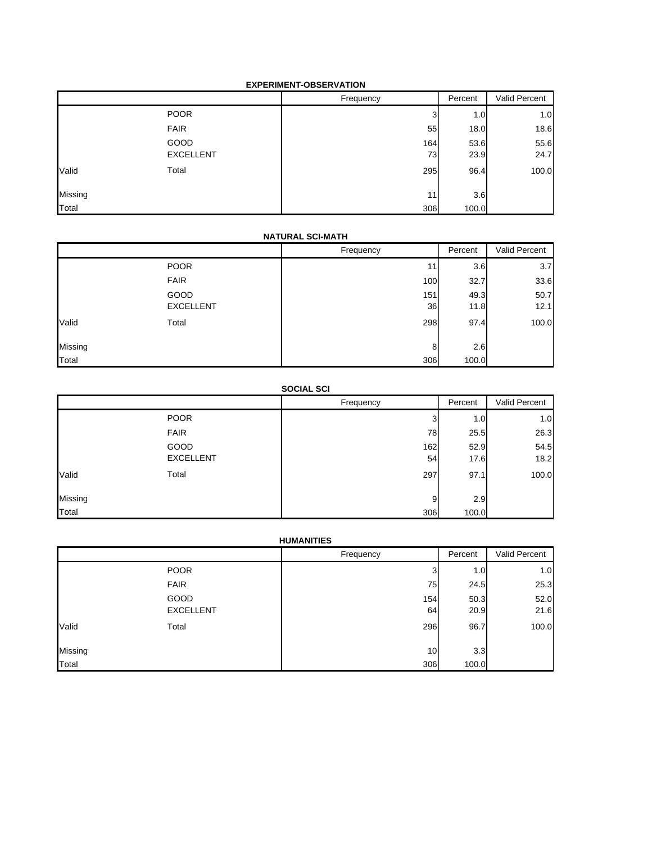### **EXPERIMENT-OBSERVATION**

|         |                  | Frequency | Percent | Valid Percent |
|---------|------------------|-----------|---------|---------------|
|         | <b>POOR</b>      | 3         | 1.0     | 1.0           |
|         | <b>FAIR</b>      | 55        | 18.0    | 18.6          |
|         | <b>GOOD</b>      | 164       | 53.6    | 55.6          |
|         | <b>EXCELLENT</b> | 73        | 23.9    | 24.7          |
| Valid   | Total            | 295       | 96.4    | 100.0         |
| Missing |                  | 11        | 3.6     |               |
| Total   |                  | 306       | 100.0   |               |

#### **NATURAL SCI-MATH**

|         |                  | Frequency | Percent | Valid Percent |
|---------|------------------|-----------|---------|---------------|
|         | <b>POOR</b>      | 11        | 3.6     | 3.7           |
|         | <b>FAIR</b>      | 100       | 32.7    | 33.6          |
|         | GOOD             | 151       | 49.3    | 50.7          |
|         | <b>EXCELLENT</b> | 36        | 11.8    | 12.1          |
| Valid   | Total            | 298       | 97.4    | 100.0         |
| Missing |                  | 8         | 2.6     |               |
| Total   |                  | 306       | 100.0   |               |

## **SOCIAL SCI**

|         |                  | Frequency | Percent | Valid Percent |
|---------|------------------|-----------|---------|---------------|
|         | <b>POOR</b>      | 3         | 1.0     | 1.0           |
|         | <b>FAIR</b>      | 78        | 25.5    | 26.3          |
|         | <b>GOOD</b>      | 162       | 52.9    | 54.5          |
|         | <b>EXCELLENT</b> | 54        | 17.6    | 18.2          |
| Valid   | Total            | 297       | 97.1    | 100.0         |
| Missing |                  | 9         | 2.9     |               |
| Total   |                  | 306       | 100.0   |               |

## **HUMANITIES**

|         |                  | Frequency | Percent | Valid Percent |
|---------|------------------|-----------|---------|---------------|
|         | <b>POOR</b>      | 3         | 1.0     | 1.0           |
|         | <b>FAIR</b>      | 75        | 24.5    | 25.3          |
|         | GOOD             | 154       | 50.3    | 52.0          |
|         | <b>EXCELLENT</b> | 64        | 20.9    | 21.6          |
| Valid   | Total            | 296       | 96.7    | 100.0         |
| Missing |                  | 10        | 3.3     |               |
| Total   |                  | 306       | 100.0   |               |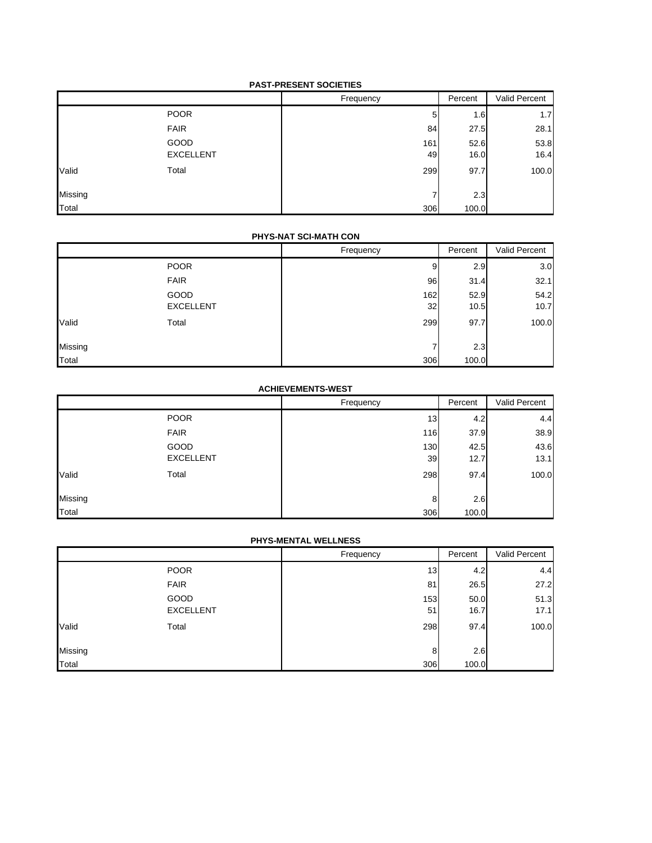#### **PAST-PRESENT SOCIETIES**

|         |                  | Frequency | Percent | Valid Percent |
|---------|------------------|-----------|---------|---------------|
|         | <b>POOR</b>      | 5         | 1.6     | 1.7           |
|         | <b>FAIR</b>      | 84        | 27.5    | 28.1          |
|         | GOOD             | 161       | 52.6    | 53.8          |
|         | <b>EXCELLENT</b> | 49        | 16.0    | 16.4          |
| Valid   | Total            | 299       | 97.7    | 100.0         |
| Missing |                  |           | 2.3     |               |
| Total   |                  | 306       | 100.0   |               |

#### **PHYS-NAT SCI-MATH CON**

|         |                  | Frequency | Percent | Valid Percent |
|---------|------------------|-----------|---------|---------------|
|         | <b>POOR</b>      | 9         | 2.9     | 3.0           |
|         | <b>FAIR</b>      | 96        | 31.4    | 32.1          |
|         | GOOD             | 162       | 52.9    | 54.2          |
|         | <b>EXCELLENT</b> | 32        | 10.5    | 10.7          |
| Valid   | Total            | 299       | 97.7    | 100.0         |
| Missing |                  |           | 2.3     |               |
| Total   |                  | 306       | 100.0   |               |

## **ACHIEVEMENTS-WEST**

|         |                  | Frequency | Percent | Valid Percent |
|---------|------------------|-----------|---------|---------------|
|         | <b>POOR</b>      | 13        | 4.2     | 4.4           |
|         | <b>FAIR</b>      | 116       | 37.9    | 38.9          |
|         | GOOD             | 130       | 42.5    | 43.6          |
|         | <b>EXCELLENT</b> | 39        | 12.7    | 13.1          |
| Valid   | Total            | 298       | 97.4    | 100.0         |
| Missing |                  | 8         | 2.6     |               |
| Total   |                  | 306       | 100.0   |               |

## **PHYS-MENTAL WELLNESS**

|         |                  | Frequency | Percent | Valid Percent |
|---------|------------------|-----------|---------|---------------|
|         | <b>POOR</b>      | 13        | 4.2     | 4.4           |
|         | <b>FAIR</b>      | 81        | 26.5    | 27.2          |
|         | GOOD             | 153       | 50.0    | 51.3          |
|         | <b>EXCELLENT</b> | 51        | 16.7    | 17.1          |
| Valid   | Total            | 298       | 97.4    | 100.0         |
| Missing |                  | 8         | 2.6     |               |
| Total   |                  | 306       | 100.0   |               |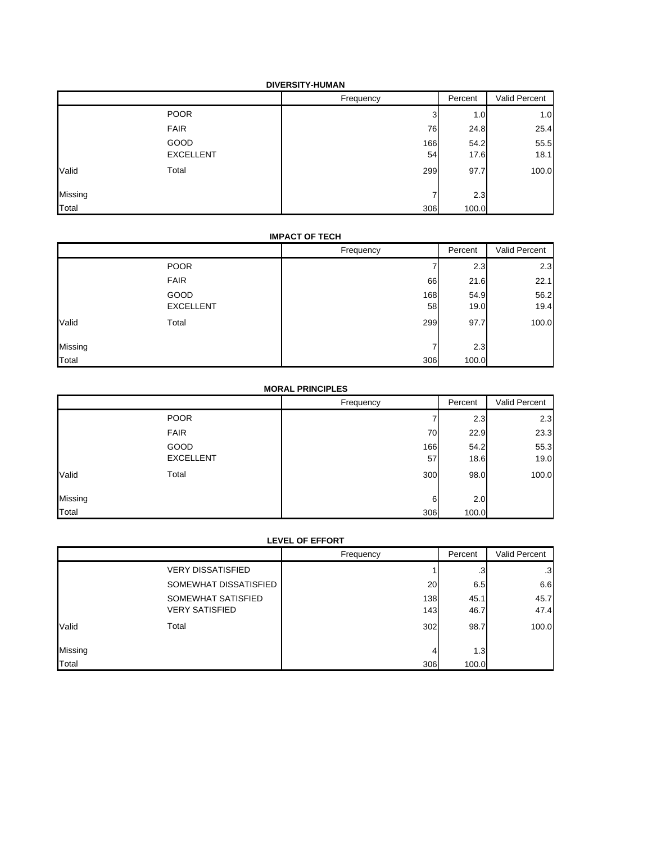|         |                  | Frequency | Percent | Valid Percent |
|---------|------------------|-----------|---------|---------------|
|         | <b>POOR</b>      | 3         | 1.0     | 1.0           |
|         | <b>FAIR</b>      | 76        | 24.8    | 25.4          |
|         | GOOD             | 166       | 54.2    | 55.5          |
|         | <b>EXCELLENT</b> | 54        | 17.6    | 18.1          |
| Valid   | Total            | 299       | 97.7    | 100.0         |
| Missing |                  |           | 2.3     |               |
| Total   |                  | 306       | 100.0   |               |

#### **IMPACT OF TECH**

|         |                  | Frequency | Percent | Valid Percent |
|---------|------------------|-----------|---------|---------------|
|         | <b>POOR</b>      |           | 2.3     | 2.3           |
|         | <b>FAIR</b>      | 66        | 21.6    | 22.1          |
|         | GOOD             | 168       | 54.9    | 56.2          |
|         | <b>EXCELLENT</b> | 58        | 19.0    | 19.4          |
| Valid   | Total            | 299       | 97.7    | 100.0         |
| Missing |                  |           | 2.3     |               |
| Total   |                  | 306       | 100.0   |               |

## **MORAL PRINCIPLES**

|         |                  | Frequency | Percent | Valid Percent |
|---------|------------------|-----------|---------|---------------|
|         | <b>POOR</b>      |           | 2.3     | 2.3           |
|         | <b>FAIR</b>      | 70        | 22.9    | 23.3          |
|         | GOOD             | 166       | 54.2    | 55.3          |
|         | <b>EXCELLENT</b> | 57        | 18.6    | 19.0          |
| Valid   | Total            | 300       | 98.0    | 100.0         |
| Missing |                  | 6         | 2.0     |               |
| Total   |                  | 306       | 100.0   |               |

#### **LEVEL OF EFFORT**

|         |                          | Frequency       | Percent | Valid Percent |
|---------|--------------------------|-----------------|---------|---------------|
|         | <b>VERY DISSATISFIED</b> |                 | .3      | $\cdot$ 3     |
|         | SOMEWHAT DISSATISFIED    | 20 <sup>1</sup> | 6.5     | 6.6           |
|         | SOMEWHAT SATISFIED       | 138             | 45.1    | 45.7          |
|         | <b>VERY SATISFIED</b>    | 143             | 46.7    | 47.4          |
| Valid   | Total                    | 302             | 98.7    | 100.0         |
|         |                          |                 |         |               |
| Missing |                          | 4               | 1.3     |               |
| Total   |                          | 306             | 100.0   |               |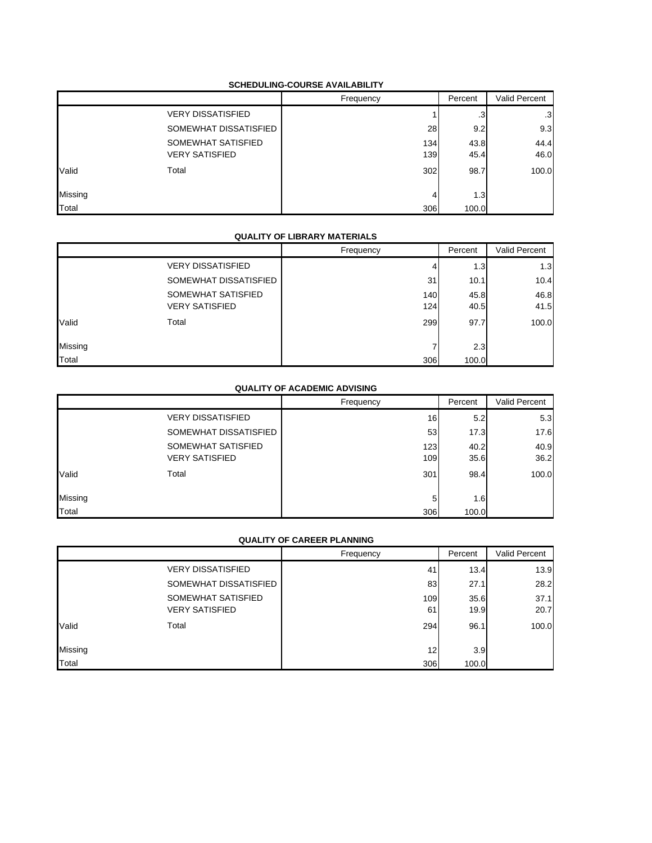#### **SCHEDULING-COURSE AVAILABILITY**

|         |                          | Frequency | Percent   | Valid Percent |
|---------|--------------------------|-----------|-----------|---------------|
|         | <b>VERY DISSATISFIED</b> |           | $\cdot$ 3 | .3            |
|         | SOMEWHAT DISSATISFIED    | 28        | 9.2       | 9.3           |
|         | SOMEWHAT SATISFIED       | 134       | 43.8      | 44.4          |
|         | <b>VERY SATISFIED</b>    | 139       | 45.4      | 46.0          |
| Valid   | Total                    | 302       | 98.7      | 100.0         |
| Missing |                          | 4         | 1.3       |               |
| Total   |                          | 306       | 100.0     |               |

#### **QUALITY OF LIBRARY MATERIALS**

|         |                          | Frequency | Percent | Valid Percent |
|---------|--------------------------|-----------|---------|---------------|
|         | <b>VERY DISSATISFIED</b> | 4         | 1.3     | 1.3           |
|         | SOMEWHAT DISSATISFIED    | 31        | 10.1    | 10.4          |
|         | SOMEWHAT SATISFIED       | 140       | 45.8    | 46.8          |
|         | <b>VERY SATISFIED</b>    | 124       | 40.5    | 41.5          |
| Valid   | Total                    | 299       | 97.7    | 100.0         |
| Missing |                          |           | 2.3     |               |
| Total   |                          | 306       | 100.0   |               |

#### **QUALITY OF ACADEMIC ADVISING**

|         |                          | Frequency | Percent | <b>Valid Percent</b> |
|---------|--------------------------|-----------|---------|----------------------|
|         | <b>VERY DISSATISFIED</b> | 16        | 5.2     | 5.3                  |
|         | SOMEWHAT DISSATISFIED    | 53        | 17.3    | 17.6                 |
|         | SOMEWHAT SATISFIED       | 123       | 40.2    | 40.9                 |
|         | <b>VERY SATISFIED</b>    | 109       | 35.6    | 36.2                 |
| Valid   | Total                    | 301       | 98.4    | 100.0                |
| Missing |                          | 5         | 1.6     |                      |
| Total   |                          | 306       | 100.0   |                      |

#### **QUALITY OF CAREER PLANNING**

|         |                          | Frequency | Percent | Valid Percent |
|---------|--------------------------|-----------|---------|---------------|
|         | <b>VERY DISSATISFIED</b> | 41        | 13.4    | 13.9          |
|         | SOMEWHAT DISSATISFIED    | 83        | 27.1    | 28.2          |
|         | SOMEWHAT SATISFIED       | 109       | 35.6    | 37.1          |
|         | <b>VERY SATISFIED</b>    | 61        | 19.9    | 20.7          |
| Valid   | Total                    | 294       | 96.1    | 100.0         |
| Missing |                          | 12        | 3.9     |               |
| Total   |                          | 306       | 100.0   |               |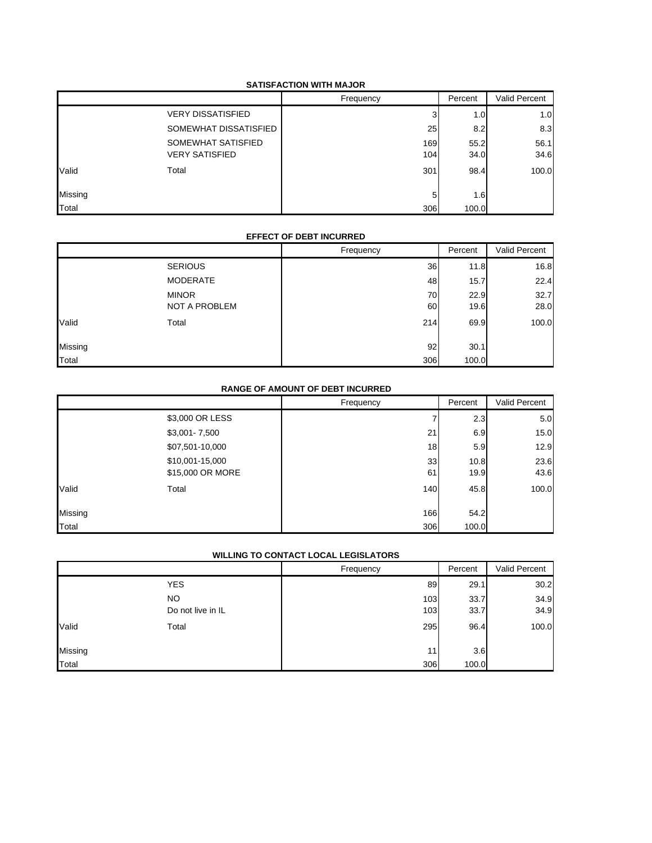#### **SATISFACTION WITH MAJOR**

|         |                          | Frequency | Percent | Valid Percent |
|---------|--------------------------|-----------|---------|---------------|
|         | <b>VERY DISSATISFIED</b> |           | 1.0     | 1.0           |
|         | SOMEWHAT DISSATISFIED    | 25        | 8.2     | 8.3           |
|         | SOMEWHAT SATISFIED       | 169       | 55.2    | 56.1          |
|         | <b>VERY SATISFIED</b>    | 104       | 34.0    | 34.6          |
| Valid   | Total                    | 301       | 98.4    | 100.0         |
| Missing |                          | 5         | 1.6     |               |
| Total   |                          | 306       | 100.0   |               |

#### **EFFECT OF DEBT INCURRED**

|         |                 | Frequency | Percent | Valid Percent |
|---------|-----------------|-----------|---------|---------------|
|         | <b>SERIOUS</b>  | 36        | 11.8    | 16.8          |
|         | <b>MODERATE</b> | 48        | 15.7    | 22.4          |
|         | <b>MINOR</b>    | 70        | 22.9    | 32.7          |
|         | NOT A PROBLEM   | 60        | 19.6    | 28.0          |
| Valid   | Total           | 214       | 69.9    | 100.0         |
| Missing |                 | 92        | 30.1    |               |
| Total   |                 | 306       | 100.0   |               |

## **RANGE OF AMOUNT OF DEBT INCURRED**

|         |                  | Frequency | Percent | Valid Percent |
|---------|------------------|-----------|---------|---------------|
|         | \$3,000 OR LESS  |           | 2.3     | 5.0           |
|         | \$3,001-7,500    | 21        | 6.9     | 15.0          |
|         | \$07,501-10,000  | 18        | 5.9     | 12.9          |
|         | \$10,001-15,000  | 33        | 10.8    | 23.6          |
|         | \$15,000 OR MORE | 61        | 19.9    | 43.6          |
| Valid   | Total            | 140       | 45.8    | 100.0         |
| Missing |                  | 166       | 54.2    |               |
| Total   |                  | 306       | 100.0   |               |

## **WILLING TO CONTACT LOCAL LEGISLATORS**

|         |                   | Frequency | Percent | Valid Percent |
|---------|-------------------|-----------|---------|---------------|
|         | <b>YES</b>        | 89        | 29.1    | 30.2          |
|         | <b>NO</b>         | 103       | 33.7    | 34.9          |
|         | Do not live in IL | 103       | 33.7    | 34.9          |
| Valid   | Total             | 295       | 96.4    | 100.0         |
| Missing |                   | 11        | 3.6     |               |
| Total   |                   | 306       | 100.0   |               |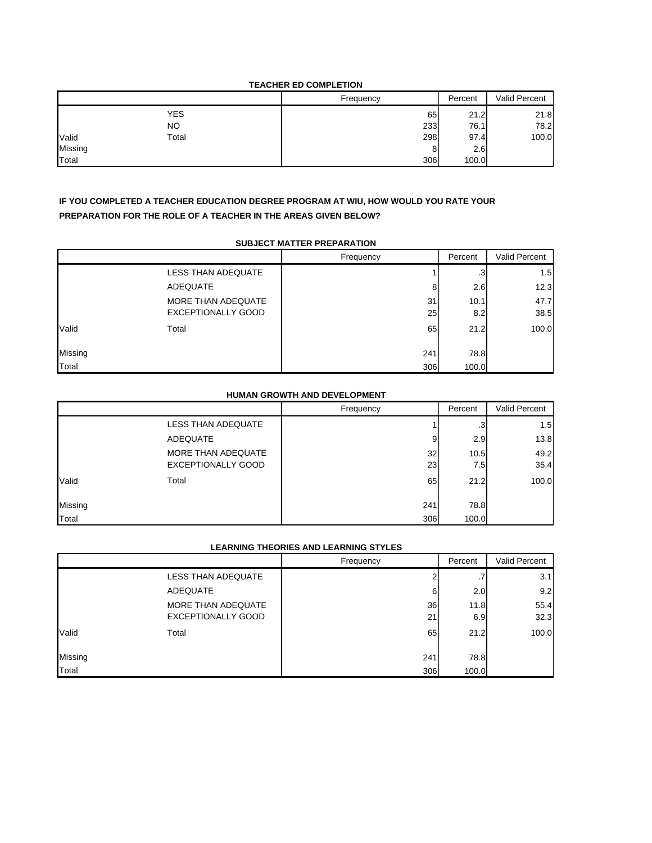#### **TEACHER ED COMPLETION**

|         |            | Frequency | Percent | Valid Percent |
|---------|------------|-----------|---------|---------------|
|         | <b>YES</b> | 65        | 21.2    | 21.8          |
|         | <b>NO</b>  | 233       | 76.1    | 78.2          |
| Valid   | Total      | 298       | 97.4    | 100.0         |
| Missing |            | 8         | 2.6     |               |
| Total   |            | 306       | 100.0   |               |

## **IF YOU COMPLETED A TEACHER EDUCATION DEGREE PROGRAM AT WIU, HOW WOULD YOU RATE YOUR PREPARATION FOR THE ROLE OF A TEACHER IN THE AREAS GIVEN BELOW?**

#### **SUBJECT MATTER PREPARATION**

|         |                           | Frequency | Percent | Valid Percent |
|---------|---------------------------|-----------|---------|---------------|
|         | LESS THAN ADEQUATE        |           | .3      | 1.5           |
|         | ADEQUATE                  | 8         | 2.6     | 12.3          |
|         | MORE THAN ADEQUATE        | 31        | 10.1    | 47.7          |
|         | <b>EXCEPTIONALLY GOOD</b> | 25        | 8.2     | 38.5          |
| Valid   | Total                     | 65        | 21.2    | 100.0         |
| Missing |                           | 241       | 78.8    |               |
| Total   |                           | 306       | 100.0   |               |

## **HUMAN GROWTH AND DEVELOPMENT**

|         |                           | Frequency | Percent | Valid Percent |
|---------|---------------------------|-----------|---------|---------------|
|         | LESS THAN ADEQUATE        |           | .3      | 1.5           |
|         | ADEQUATE                  | 9         | 2.9     | 13.8          |
|         | MORE THAN ADEQUATE        | 32        | 10.5    | 49.2          |
|         | <b>EXCEPTIONALLY GOOD</b> | 23        | 7.5     | 35.4          |
| Valid   | Total                     | 65        | 21.2    | 100.0         |
| Missing |                           | 241       | 78.8    |               |
| Total   |                           | 306       | 100.0   |               |

## **LEARNING THEORIES AND LEARNING STYLES**

|         |                           | Frequency | Percent         | Valid Percent |
|---------|---------------------------|-----------|-----------------|---------------|
|         | <b>LESS THAN ADEQUATE</b> |           | $\cdot$ $\cdot$ | 3.1           |
|         | ADEQUATE                  | 6         | 2.0             | 9.2           |
|         | MORE THAN ADEQUATE        | 36        | 11.8            | 55.4          |
|         | <b>EXCEPTIONALLY GOOD</b> | 21        | 6.9             | 32.3          |
| Valid   | Total                     | 65        | 21.2            | 100.0         |
| Missing |                           | 241       | 78.8            |               |
| Total   |                           | 306       | 100.0           |               |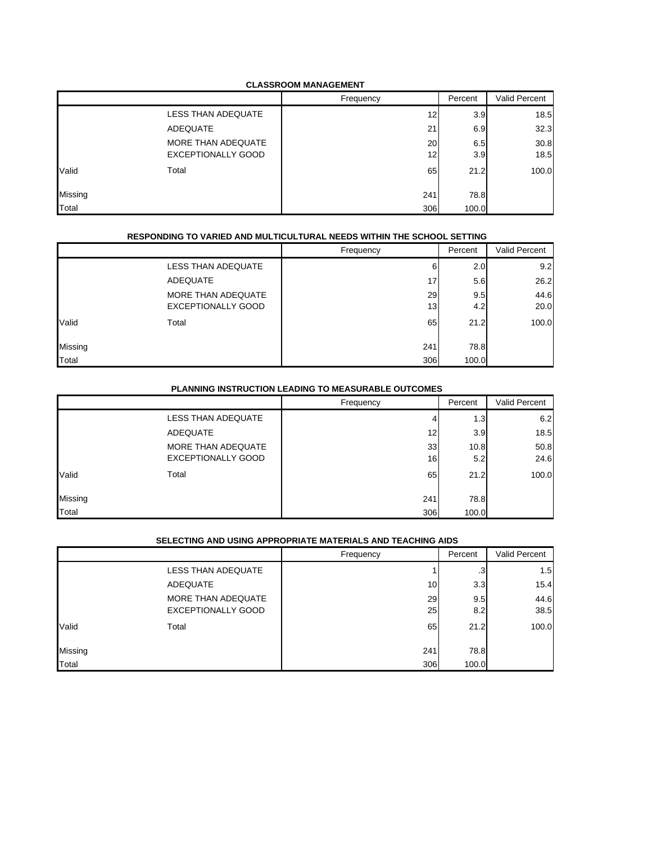#### **CLASSROOM MANAGEMENT**

|         |                    | Frequency | Percent | Valid Percent |
|---------|--------------------|-----------|---------|---------------|
|         | LESS THAN ADEQUATE | 12        | 3.9     | 18.5          |
|         | <b>ADEQUATE</b>    | 21        | 6.9     | 32.3          |
|         | MORE THAN ADEQUATE | 20        | 6.5     | 30.8          |
|         | EXCEPTIONALLY GOOD | 12        | 3.9     | 18.5          |
| Valid   | Total              | 65        | 21.2    | 100.0         |
| Missing |                    | 241       | 78.8    |               |
| Total   |                    | 306       | 100.0   |               |

#### **RESPONDING TO VARIED AND MULTICULTURAL NEEDS WITHIN THE SCHOOL SETTING**

|         |                           | Frequency | Percent | Valid Percent |
|---------|---------------------------|-----------|---------|---------------|
|         | LESS THAN ADEQUATE        | 6         | 2.0     | 9.2           |
|         | ADEQUATE                  | 17        | 5.6     | 26.2          |
|         | MORE THAN ADEQUATE        | 29        | 9.5     | 44.6          |
|         | <b>EXCEPTIONALLY GOOD</b> | 13        | 4.2     | 20.0          |
| Valid   | Total                     | 65        | 21.2    | 100.0         |
| Missing |                           | 241       | 78.8    |               |
| Total   |                           | 306       | 100.0   |               |

## **PLANNING INSTRUCTION LEADING TO MEASURABLE OUTCOMES**

|         |                           | Frequency | Percent | Valid Percent |
|---------|---------------------------|-----------|---------|---------------|
|         | <b>LESS THAN ADEQUATE</b> |           | 1.3     | 6.2           |
|         | ADEQUATE                  | 12        | 3.9     | 18.5          |
|         | MORE THAN ADEQUATE        | 33        | 10.8    | 50.8          |
|         | <b>EXCEPTIONALLY GOOD</b> | 16        | 5.2     | 24.6          |
| Valid   | Total                     | 65        | 21.2    | 100.0         |
| Missing |                           | 241       | 78.8    |               |
| Total   |                           | 306       | 100.0   |               |

## **SELECTING AND USING APPROPRIATE MATERIALS AND TEACHING AIDS**

|         |                           | Frequency | Percent   | Valid Percent |
|---------|---------------------------|-----------|-----------|---------------|
|         | LESS THAN ADEQUATE        |           | $\cdot$ 3 | 1.5           |
|         | ADEQUATE                  | 10        | 3.3       | 15.4          |
|         | MORE THAN ADEQUATE        | 29        | 9.5       | 44.6          |
|         | <b>EXCEPTIONALLY GOOD</b> | 25        | 8.2       | 38.5          |
| Valid   | Total                     | 65        | 21.2      | 100.0         |
| Missing |                           | 241       | 78.8      |               |
| Total   |                           | 306       | 100.0     |               |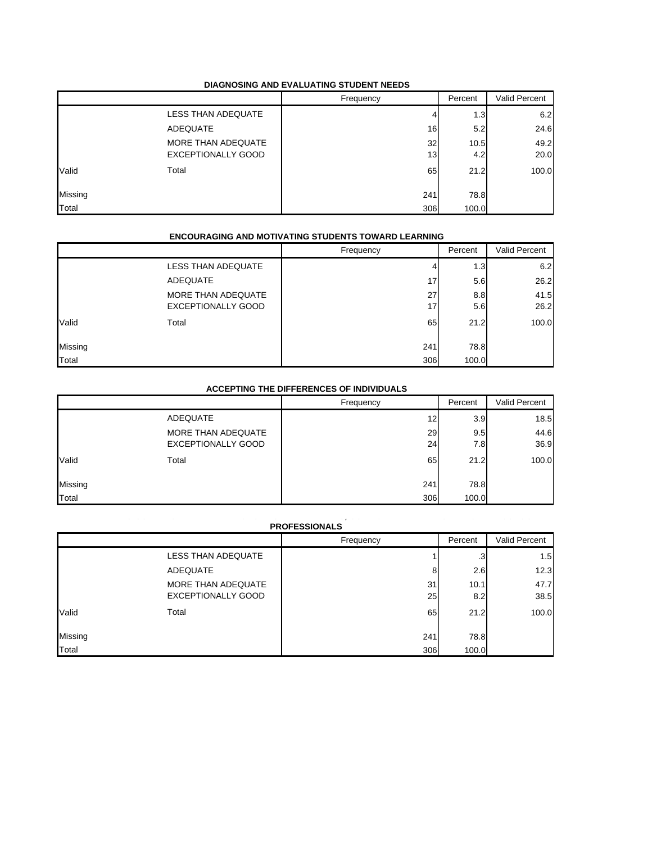#### **DIAGNOSING AND EVALUATING STUDENT NEEDS**

|         |                           | Frequency | Percent | Valid Percent |
|---------|---------------------------|-----------|---------|---------------|
|         | LESS THAN ADEQUATE        |           | 1.3     | 6.2           |
|         | ADEQUATE                  | 16        | 5.2     | 24.6          |
|         | MORE THAN ADEQUATE        | 32        | 10.5    | 49.2          |
|         | <b>EXCEPTIONALLY GOOD</b> | 13        | 4.2     | 20.0          |
| Valid   | Total                     | 65        | 21.2    | 100.0         |
| Missing |                           | 241       | 78.8    |               |
| Total   |                           | 306       | 100.0   |               |

#### **ENCOURAGING AND MOTIVATING STUDENTS TOWARD LEARNING**

|         |                           | Frequency | Percent | Valid Percent |
|---------|---------------------------|-----------|---------|---------------|
|         | <b>LESS THAN ADEQUATE</b> | 4         | 1.3     | 6.2           |
|         | <b>ADEQUATE</b>           | 17        | 5.6     | 26.2          |
|         | MORE THAN ADEQUATE        | 27        | 8.8     | 41.5          |
|         | <b>EXCEPTIONALLY GOOD</b> | 17        | 5.6     | 26.2          |
| Valid   | Total                     | 65        | 21.2    | 100.0         |
| Missing |                           | 241       | 78.8    |               |
| Total   |                           | 306       | 100.0   |               |

#### **ACCEPTING THE DIFFERENCES OF INDIVIDUALS**

|         |                           | Frequency | Percent | Valid Percent |
|---------|---------------------------|-----------|---------|---------------|
|         | ADEQUATE                  | 12        | 3.9     | 18.5          |
|         | MORE THAN ADEQUATE        | 29        | 9.5     | 44.6          |
|         | <b>EXCEPTIONALLY GOOD</b> | 24        | 7.8     | 36.9          |
| Valid   | Total                     | 65        | 21.2    | 100.0         |
| Missing |                           | 241       | 78.8    |               |
| Total   |                           | 306       | 100.0   |               |

#### **MAINTAINING COLLABORATIVE RELATIONSHIPS WITH PARENTS, COMMUNITY MEMBERS AND OTHER SCHOOL PROFESSIONALS**

| <b>PRUFESSIUNALS</b> |                                                 |           |             |               |
|----------------------|-------------------------------------------------|-----------|-------------|---------------|
|                      |                                                 | Frequency | Percent     | Valid Percent |
|                      | LESS THAN ADEQUATE                              |           | .3          | 1.5           |
|                      | ADEQUATE                                        | 8         | 2.6         | 12.3          |
|                      | MORE THAN ADEQUATE<br><b>EXCEPTIONALLY GOOD</b> | 31<br>25  | 10.1<br>8.2 | 47.7<br>38.5  |
| Valid                | Total                                           | 65        | 21.2        | 100.0         |
| Missing              |                                                 | 241       | 78.8        |               |
| Total                |                                                 | 306       | 100.0       |               |